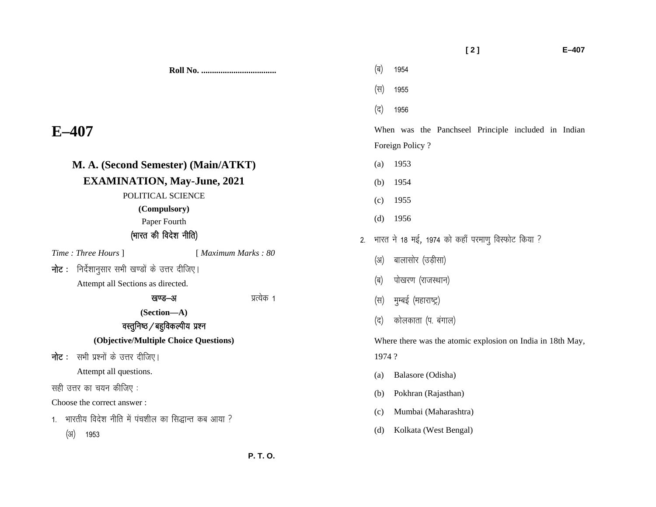|                                                                                        |                     | [2]<br>$E - 407$                                                       |
|----------------------------------------------------------------------------------------|---------------------|------------------------------------------------------------------------|
|                                                                                        |                     | (ब)<br>1954                                                            |
|                                                                                        |                     | (स)<br>1955                                                            |
|                                                                                        |                     | (द)<br>1956                                                            |
| $E$ –407                                                                               |                     | When was the Panchseel Principle included in Indian<br>Foreign Policy? |
| M. A. (Second Semester) (Main/ATKT)                                                    |                     | 1953<br>(a)                                                            |
| <b>EXAMINATION, May-June, 2021</b>                                                     |                     | 1954<br>(b)                                                            |
| POLITICAL SCIENCE                                                                      |                     | 1955<br>(c)                                                            |
| (Compulsory)<br>Paper Fourth                                                           |                     | 1956<br>(d)                                                            |
| (भारत की विदेश नीति)                                                                   |                     | भारत ने 18 मई, 1974 को कहाँ परमाणु विस्फोट किया ?<br>2.                |
| Time: Three Hours ]                                                                    | [ Maximum Marks: 80 | बालासोर (उड़ीसा)<br>(3)                                                |
| निर्देशानुसार सभी खण्डों के उत्तर दीजिए।<br>नोट :<br>Attempt all Sections as directed. |                     | पोखरण (राजस्थान)<br>(ब)                                                |
| खण्ड–अ                                                                                 | प्रत्येक 1          | मुम्बई (महाराष्ट्र)<br>(स)                                             |
| (Section-A)<br>वस्तुनिष्ठ / बहुविकल्पीय प्रश्न                                         |                     | कोलकाता (प. बंगाल)<br>(द)                                              |
| (Objective/Multiple Choice Questions)                                                  |                     | Where there was the atomic explosion on India in 18th May,             |
| <b>नोट:</b> सभी प्रश्नों के उत्तर दीजिए।                                               |                     | 1974?                                                                  |
| Attempt all questions.                                                                 |                     | Balasore (Odisha)<br>(a)                                               |
| सही उत्तर का चयन कीजिए:                                                                |                     | Pokhran (Rajasthan)<br>(b)                                             |
| Choose the correct answer:                                                             |                     | Mumbai (Maharashtra)<br>(c)                                            |
| भारतीय विदेश नीति में पंचशील का सिद्धान्त कब आया ?<br>$1_{\cdot}$<br>(3I)<br>1953      |                     | Kolkata (West Bengal)<br>(d)                                           |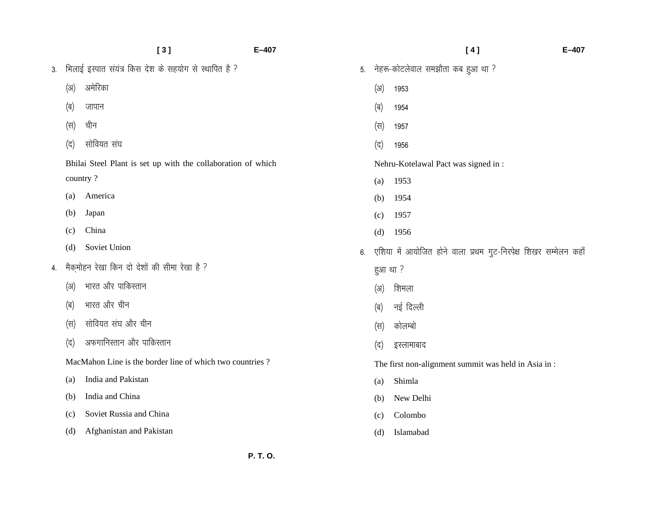|    |      | [3]                                                          | $E-407$ |         | [4]                                                             | $E - 407$ |
|----|------|--------------------------------------------------------------|---------|---------|-----------------------------------------------------------------|-----------|
| 3. |      | भिलाई इस्पात संयंत्र किस देश के सहयोग से स्थापित है ?        | 5.      |         | नेहरू-कोटलेवाल समझौता कब हुआ था ?                               |           |
|    | (3I) | अमेरिका                                                      |         | (3)     | 1953                                                            |           |
|    | (ब)  | जापान                                                        |         | (ब)     | 1954                                                            |           |
|    | (स)  | चीन                                                          |         | (स)     | 1957                                                            |           |
|    | (द)  | सोवियत संघ                                                   |         | (द)     | 1956                                                            |           |
|    |      | Bhilai Steel Plant is set up with the collaboration of which |         |         | Nehru-Kotelawal Pact was signed in:                             |           |
|    |      | country?                                                     |         | (a)     | 1953                                                            |           |
|    | (a)  | America                                                      |         | (b)     | 1954                                                            |           |
|    | (b)  | Japan                                                        |         | (c)     | 1957                                                            |           |
|    | (c)  | China                                                        |         | (d)     | 1956                                                            |           |
|    | (d)  | Soviet Union                                                 | 6.      |         | एशिया में आयोजित होने वाला प्रथम गुट-निरपेक्ष शिखर सम्मेलन कहाँ |           |
| 4. |      | मैकमोहन रेखा किन दो देशों की सीमा रेखा है ?                  |         | हुआ था? |                                                                 |           |
|    | (3I) | भारत और पाकिस्तान                                            |         | (3I)    | शिमला                                                           |           |
|    | (ब)  | भारत और चीन                                                  |         | (ब)     | नई दिल्ली                                                       |           |
|    | (स)  | सोवियत संघ और चीन                                            |         | (स)     | कोलम्बो                                                         |           |
|    | (द)  | अफगानिस्तान और पाकिस्तान                                     |         | (द)     | इस्लामाबाद                                                      |           |
|    |      | MacMahon Line is the border line of which two countries?     |         |         | The first non-alignment summit was held in Asia in:             |           |
|    | (a)  | India and Pakistan                                           |         | (a)     | Shimla                                                          |           |
|    | (b)  | India and China                                              |         | (b)     | New Delhi                                                       |           |
|    | (c)  | Soviet Russia and China                                      |         | (c)     | Colombo                                                         |           |
|    | (d)  | Afghanistan and Pakistan                                     |         | (d)     | Islamabad                                                       |           |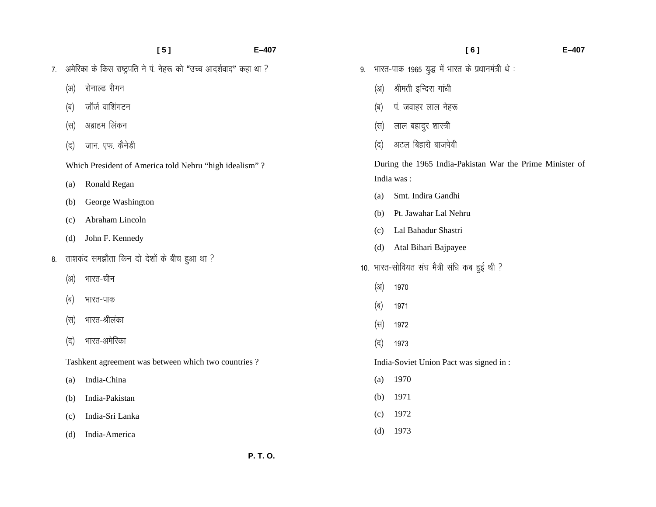|    |      | [5]                                                                | $E-407$ |      | [6]                                                      | $E - 407$ |
|----|------|--------------------------------------------------------------------|---------|------|----------------------------------------------------------|-----------|
| 7. |      | अमेरिका के किस राष्ट्रपति ने पं. नेहरू को "उच्च आदर्शवाद" कहा था ? | 9.      |      | भारत-पाक 1965 युद्ध में भारत के प्रधानमंत्री थे :        |           |
|    | (3I) | रोनाल्ड रीगन                                                       |         | (3I) | श्रीमती इन्दिरा गांधी                                    |           |
|    | (ब)  | जॉर्ज वाशिंगटन                                                     |         | (ब)  | पं. जवाहर लाल नेहरू                                      |           |
|    | (स)  | अब्राहम लिंकन                                                      |         | (स)  | लाल बहादुर शास्त्री                                      |           |
|    | (द)  | जान. एफ. कैनेडी                                                    |         | (द)  | अटल बिहारी बाजपेयी                                       |           |
|    |      | Which President of America told Nehru "high idealism"?             |         |      | During the 1965 India-Pakistan War the Prime Minister of |           |
|    | (a)  | Ronald Regan                                                       |         |      | India was:                                               |           |
|    | (b)  | George Washington                                                  |         | (a)  | Smt. Indira Gandhi                                       |           |
|    | (c)  | Abraham Lincoln                                                    |         | (b)  | Pt. Jawahar Lal Nehru                                    |           |
|    | (d)  | John F. Kennedy                                                    |         | (c)  | Lal Bahadur Shastri                                      |           |
|    |      |                                                                    |         | (d)  | Atal Bihari Bajpayee                                     |           |
| 8. |      | ताशकद समझौता किन दो देशों के बीच हुआ था ?                          |         |      | 10. भारत-सोवियत संघ मैत्री संधि कब हुई थी ?              |           |
|    | (3I) | भारत-चीन                                                           |         | (3I) | 1970                                                     |           |
|    | (ৰ)  | भारत-पाक                                                           |         |      |                                                          |           |
|    |      |                                                                    |         | (ब)  | 1971                                                     |           |
|    | (स)  | भारत-श्रीलंका                                                      |         | (स)  | 1972                                                     |           |
|    | (द)  | भारत-अमेरिका                                                       |         | (द)  | 1973                                                     |           |
|    |      | Tashkent agreement was between which two countries?                |         |      | India-Soviet Union Pact was signed in :                  |           |
|    | (a)  | India-China                                                        |         | (a)  | 1970                                                     |           |
|    | (b)  | India-Pakistan                                                     |         | (b)  | 1971                                                     |           |
|    | (c)  | India-Sri Lanka                                                    |         | (c)  | 1972                                                     |           |
|    | (d)  | India-America                                                      |         | (d)  | 1973                                                     |           |

 **P. T. O.**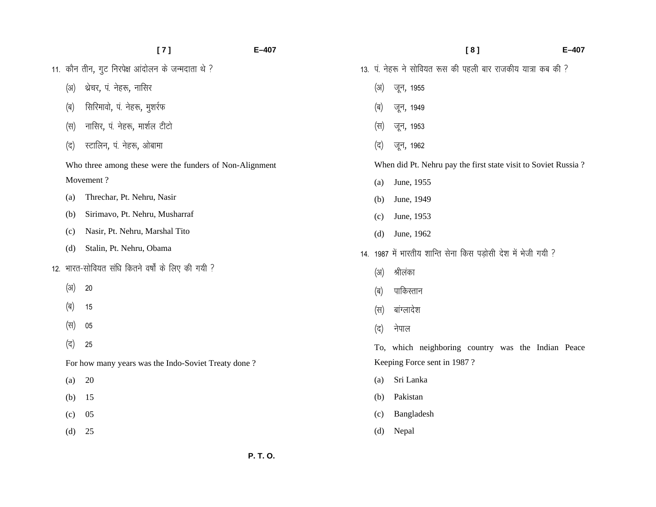|      | [7]<br>$E-407$                                          |      | [8]                                                            | $E - 407$ |
|------|---------------------------------------------------------|------|----------------------------------------------------------------|-----------|
|      | 11. कौन तीन, गुट निरपेक्ष आंदोलन के जन्मदाता थे ?       |      | 13. पं. नेहरू ने सोवियत रूस की पहली बार राजकीय यात्रा कब की ?  |           |
| (3I) | थ्रेचर, पं. नेहरू, नासिर                                | (3I) | जून, 1955                                                      |           |
| (ब)  | सिरिमावो, पं. नेहरू, मुशर्रफ                            | (ब)  | जून, 1949                                                      |           |
| (स)  | नासिर, पं. नेहरू, मार्शल टीटो                           | (स)  | जून, 1953                                                      |           |
| (द)  | स्टालिन, पं. नेहरू, ओबामा                               | (द)  | जून, 1962                                                      |           |
|      | Who three among these were the funders of Non-Alignment |      | When did Pt. Nehru pay the first state visit to Soviet Russia? |           |
|      | Movement?                                               | (a)  | June, 1955                                                     |           |
| (a)  | Threchar, Pt. Nehru, Nasir                              | (b)  | June, 1949                                                     |           |
| (b)  | Sirimavo, Pt. Nehru, Musharraf                          | (c)  | June, 1953                                                     |           |
| (c)  | Nasir, Pt. Nehru, Marshal Tito                          | (d)  | June, 1962                                                     |           |
| (d)  | Stalin, Pt. Nehru, Obama                                |      | 14. 1987 में भारतीय शान्ति सेना किस पड़ोसी देश में भेजी गयी ?  |           |
|      | 12. भारत-सोवियत संधि कितने वर्षों के लिए की गयी ?       | (31) | श्रीलंका                                                       |           |
| (3I) | 20                                                      | (ब)  | पाकिस्तान                                                      |           |
| (ब)  | 15                                                      | (स)  | बांग्लादेश                                                     |           |
| (स)  | 05                                                      | (द)  | नेपाल                                                          |           |
| (द)  | 25                                                      |      | To, which neighboring country was the Indian Peace             |           |
|      | For how many years was the Indo-Soviet Treaty done?     |      | Keeping Force sent in 1987?                                    |           |
| (a)  | 20                                                      | (a)  | Sri Lanka                                                      |           |
| (b)  | 15                                                      | (b)  | Pakistan                                                       |           |
| (c)  | 05                                                      | (c)  | Bangladesh                                                     |           |
| (d)  | 25                                                      | (d)  | Nepal                                                          |           |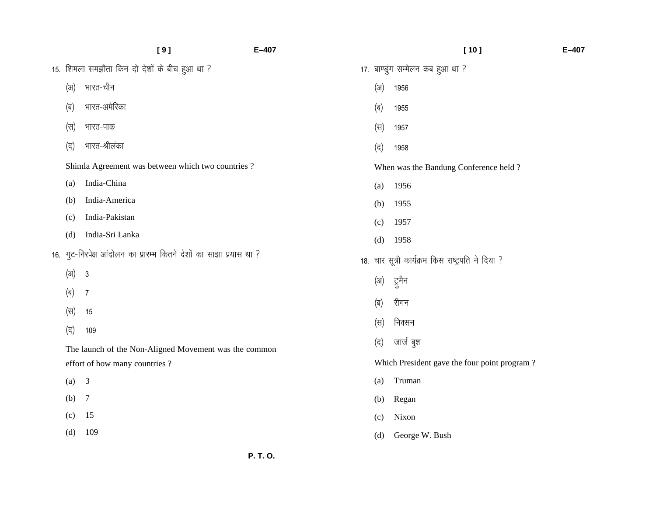|      | [9]                                                                 | $E-407$ |      | [10]                                              | $E - 407$ |
|------|---------------------------------------------------------------------|---------|------|---------------------------------------------------|-----------|
|      | 15. शिमला समझौता किन दो देशों के बीच हुआ था ?                       |         |      | 17. बाण्डुंग सम्मेलन कब हुआ था ?                  |           |
| (3I) | भारत-चीन                                                            |         | (3I) | 1956                                              |           |
| (ब)  | भारत-अमेरिका                                                        |         | (ब)  | 1955                                              |           |
| (स)  | भारत-पाक                                                            |         | (स)  | 1957                                              |           |
| (द)  | भारत-श्रीलंका                                                       |         | (द)  | 1958                                              |           |
|      | Shimla Agreement was between which two countries?                   |         |      | When was the Bandung Conference held?             |           |
| (a)  | India-China                                                         |         | (a)  | 1956                                              |           |
| (b)  | India-America                                                       |         | (b)  | 1955                                              |           |
| (c)  | India-Pakistan                                                      |         | (c)  | 1957                                              |           |
| (d)  | India-Sri Lanka                                                     |         | (d)  | 1958                                              |           |
|      | 16. गुट-निरपेक्ष आंदोलन का प्रारम्भ कितने देशों का साझा प्रयास था ? |         |      | 18. चार सूत्री कार्यक्रम किस राष्ट्रपति ने दिया ? |           |
| (3I) | $\sqrt{3}$                                                          |         | (31) | ट्रुमैन                                           |           |
| (ब)  | $\overline{7}$                                                      |         | (ब)  | रीगन                                              |           |
| (स)  | 15                                                                  |         |      |                                                   |           |
| (द)  | 109                                                                 |         | (स)  | निक्सन                                            |           |
|      | The launch of the Non-Aligned Movement was the common               |         | (द)  | जार्ज बुश                                         |           |
|      | effort of how many countries?                                       |         |      | Which President gave the four point program?      |           |
| (a)  | $\mathfrak{Z}$                                                      |         | (a)  | Truman                                            |           |
| (b)  | $\overline{7}$                                                      |         | (b)  | Regan                                             |           |
| (c)  | 15                                                                  |         | (c)  | Nixon                                             |           |
| (d)  | 109                                                                 |         | (d)  | George W. Bush                                    |           |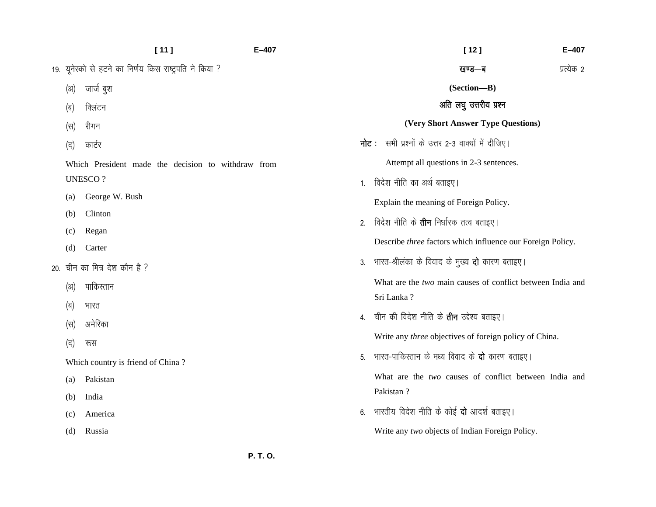|                                   | [11]                                                    | $E-407$ |    | $[12]$                                                     | E-407      |
|-----------------------------------|---------------------------------------------------------|---------|----|------------------------------------------------------------|------------|
|                                   | 19. यूनेस्को से हटने का निर्णय किस राष्ट्रपति ने किया ? |         |    | खण्ड—ब                                                     | प्रत्येक 2 |
| (3I)                              | जार्ज बुश                                               |         |    | (Section-B)                                                |            |
| (ब)                               | क्लिंटन                                                 |         |    | अति लघु उत्तरीय प्रश्न                                     |            |
| (स)                               | रीगन                                                    |         |    | (Very Short Answer Type Questions)                         |            |
| (द)                               | कार्टर                                                  |         |    | <b>नोट:</b> सभी प्रश्नों के उत्तर 2-3 वाक्यों में दीजिए।   |            |
|                                   | Which President made the decision to withdraw from      |         |    | Attempt all questions in 2-3 sentences.                    |            |
|                                   | <b>UNESCO?</b>                                          |         | 1. | विदेश नीति का अर्थ बताइए।                                  |            |
| $\left( a\right)$                 | George W. Bush                                          |         |    | Explain the meaning of Foreign Policy.                     |            |
| (b)                               | Clinton                                                 |         | 2. | विदेश नीति के <b>तीन</b> निर्धारक तत्व बताइए।              |            |
| (c)<br>(d)                        | Regan<br>Carter                                         |         |    | Describe three factors which influence our Foreign Policy. |            |
|                                   | 20. चीन का मित्र देश कौन है ?                           |         |    | 3. भारत-श्रीलंका के विवाद के मुख्य <b>दो</b> कारण बताइए।   |            |
| (3I)                              | पाकिस्तान                                               |         |    | What are the two main causes of conflict between India and |            |
| (ब)                               | भारत                                                    |         |    | Sri Lanka?                                                 |            |
| (स)                               | अमेरिका                                                 |         |    | 4.   चीन की विदेश नीति के <b>तीन</b> उद्देश्य बताइए।       |            |
| (द)                               | रूस                                                     |         |    | Write any three objectives of foreign policy of China.     |            |
| Which country is friend of China? |                                                         |         |    | 5. भारत-पाकिस्तान के मध्य विवाद के <b>दो</b> कारण बताइए।   |            |
| (a)                               | Pakistan                                                |         |    | What are the two causes of conflict between India and      |            |
| (b)                               | India                                                   |         |    | Pakistan?                                                  |            |
| (c)                               | America                                                 |         | 6. | भारतीय विदेश नीति के कोई <b>दो</b> आदर्श बताइए।            |            |
| (d)                               | Russia                                                  |         |    | Write any two objects of Indian Foreign Policy.            |            |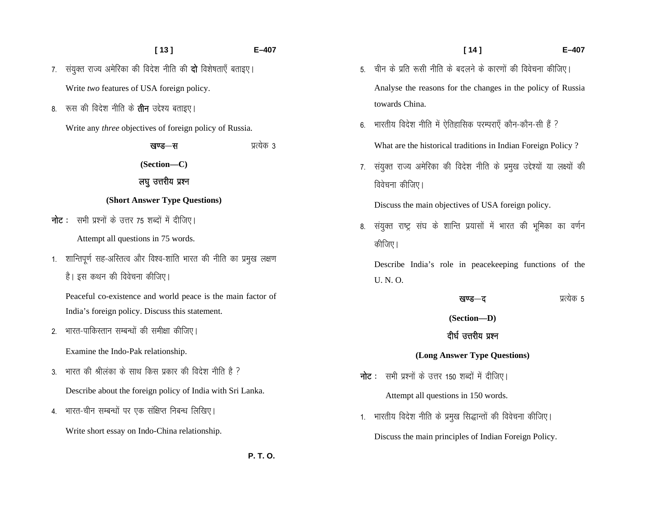|                | [13]<br>E-407                                                       |
|----------------|---------------------------------------------------------------------|
| 7.             | संयुक्त राज्य अमेरिका की विदेश नीति की <b>दो</b> विशेषताएँ बताइए।   |
|                | Write two features of USA foreign policy.                           |
| 8.             | रूस की विदेश नीति के <b>तीन</b> उद्देश्य बताइए।                     |
|                | Write any three objectives of foreign policy of Russia.             |
|                | प्रत्येक 3<br>खण्ड—स                                                |
|                | (Section-C)                                                         |
|                | लघु उत्तरीय प्रश्न                                                  |
|                | (Short Answer Type Questions)                                       |
|                | <b>नोट</b> :   सभी प्रश्नों के उत्तर 75 शब्दों में दीजिए।           |
|                | Attempt all questions in 75 words.                                  |
| 1.             | शान्तिपूर्ण सह-अस्तित्व और विश्व-शांति भारत की नीति का प्रमुख लक्षण |
|                | है। इस कथन की विवेचना कीजिए।                                        |
|                | Peaceful co-existence and world peace is the main factor of         |
|                | India's foreign policy. Discuss this statement.                     |
| 2 <sup>2</sup> | भारत-पाकिस्तान सम्बन्धों की समीक्षा कीजिए।                          |
|                | Examine the Indo-Pak relationship.                                  |
| 3.             | भारत की श्रीलंका के साथ किस प्रकार की विदेश नीति है ?               |
|                | Describe about the foreign policy of India with Sri Lanka.          |
|                | 4. भारत-चीन सम्बन्धों पर एक संक्षिप्त निबन्ध लिखिए।                 |
|                | Write short essay on Indo-China relationship.                       |

 **P. T. O.**

|    | [14]<br>$E - 407$                                                       |
|----|-------------------------------------------------------------------------|
| 5. | चीन के प्रति रूसी नीति के बदलने के कारणों की विवेचना कीजिए।             |
|    | Analyse the reasons for the changes in the policy of Russia             |
|    | towards China.                                                          |
| 6. | भारतीय विदेश नीति में ऐतिहासिक परम्पराएँ कौन-कौन-सी हैं ?               |
|    | What are the historical traditions in Indian Foreign Policy?            |
| 7. | संयुक्त राज्य अमेरिका की विदेश नीति के प्रमुख उद्देश्यों या लक्ष्यों की |
|    | विवेचना कीजिए।                                                          |
|    | Discuss the main objectives of USA foreign policy.                      |
| 8. | संयुक्त राष्ट्र संघ के शान्ति प्रयासों में भारत की भूमिका का वर्णन      |
|    | कीजिए।                                                                  |
|    | Describe India's role in peacekeeping functions of the                  |
|    | U. N. O.                                                                |
|    | प्रत्येक 5<br>खण्ड—द                                                    |
|    | (Section-D)                                                             |
|    | दीर्घ उत्तरीय प्रश्न                                                    |
|    | (Long Answer Type Questions)                                            |

- **नोट** : सभी प्रश्नों के उत्तर 150 शब्दों में दीजिए। Attempt all questions in 150 words.
- 1. भारतीय विदेश नीति के प्रमुख सिद्धान्तों की विवेचना कीजिए। Discuss the main principles of Indian Foreign Policy.